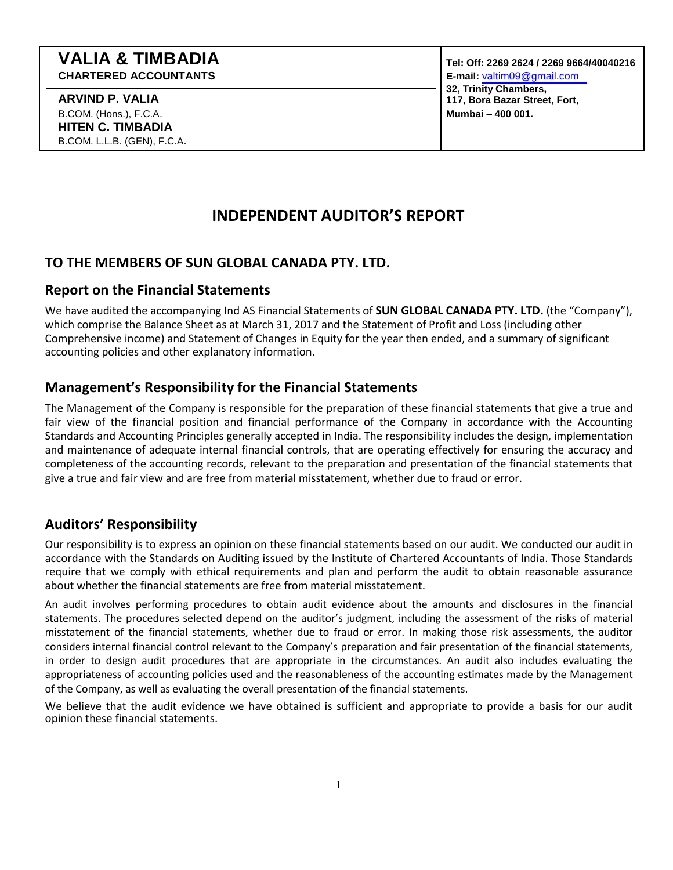## **VALIA & TIMBADIA Tel: Off: 2269 2624 / 2269 9664/40040216 CHARTERED ACCOUNTANTS E-mail:** valtim09@gmail.com

B.COM. (Hons.), F.C.A. **Mumbai – 400 001. HITEN C. TIMBADIA** B.COM. L.L.B. (GEN), F.C.A.

**32, Trinity Chambers, ARVIND P. VALIA 117, Bora Bazar Street, Fort,**

# **INDEPENDENT AUDITOR'S REPORT**

# **TO THE MEMBERS OF SUN GLOBAL CANADA PTY. LTD.**

### **Report on the Financial Statements**

We have audited the accompanying Ind AS Financial Statements of **SUN GLOBAL CANADA PTY. LTD.** (the "Company"), which comprise the Balance Sheet as at March 31, 2017 and the Statement of Profit and Loss (including other Comprehensive income) and Statement of Changes in Equity for the year then ended, and a summary of significant accounting policies and other explanatory information.

## **Management's Responsibility for the Financial Statements**

The Management of the Company is responsible for the preparation of these financial statements that give a true and fair view of the financial position and financial performance of the Company in accordance with the Accounting Standards and Accounting Principles generally accepted in India. The responsibility includes the design, implementation and maintenance of adequate internal financial controls, that are operating effectively for ensuring the accuracy and completeness of the accounting records, relevant to the preparation and presentation of the financial statements that give a true and fair view and are free from material misstatement, whether due to fraud or error.

# **Auditors' Responsibility**

Our responsibility is to express an opinion on these financial statements based on our audit. We conducted our audit in accordance with the Standards on Auditing issued by the Institute of Chartered Accountants of India. Those Standards require that we comply with ethical requirements and plan and perform the audit to obtain reasonable assurance about whether the financial statements are free from material misstatement.

An audit involves performing procedures to obtain audit evidence about the amounts and disclosures in the financial statements. The procedures selected depend on the auditor's judgment, including the assessment of the risks of material misstatement of the financial statements, whether due to fraud or error. In making those risk assessments, the auditor considers internal financial control relevant to the Company's preparation and fair presentation of the financial statements, in order to design audit procedures that are appropriate in the circumstances. An audit also includes evaluating the appropriateness of accounting policies used and the reasonableness of the accounting estimates made by the Management of the Company, as well as evaluating the overall presentation of the financial statements.

We believe that the audit evidence we have obtained is sufficient and appropriate to provide a basis for our audit opinion these financial statements.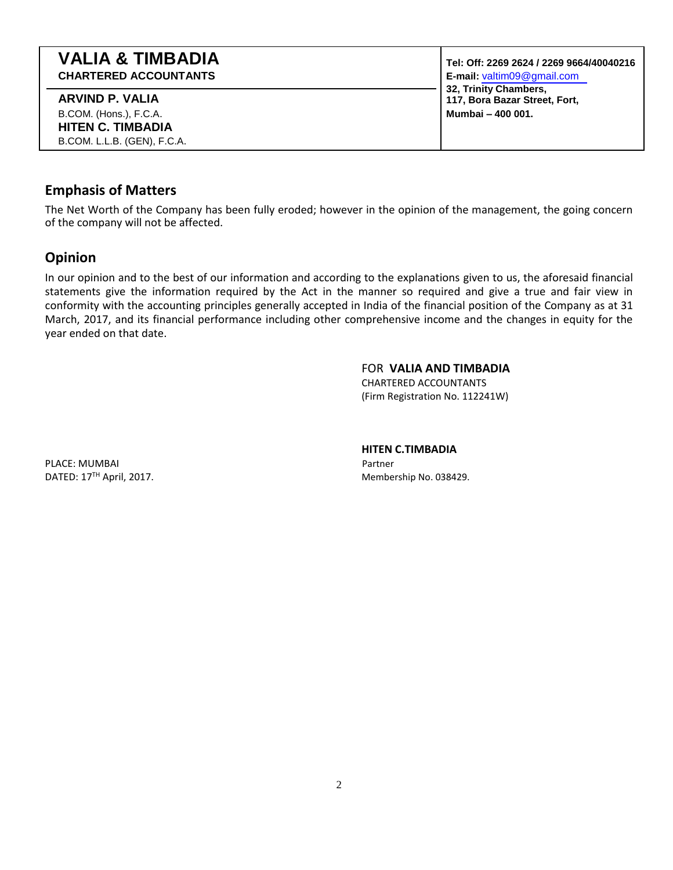| <b>VALIA &amp; TIMBADIA</b><br><b>CHARTERED ACCOUNTANTS</b> | Tel: Off: 2269 2624 / 2269 9664/40040216<br>E-mail: valtim09@gmail.com |
|-------------------------------------------------------------|------------------------------------------------------------------------|
| ARVIND P. VALIA                                             | 32, Trinity Chambers,<br>117, Bora Bazar Street, Fort,                 |
| B.COM. (Hons.), F.C.A.                                      | Mumbai - 400 001.                                                      |
| <b>HITEN C. TIMBADIA</b>                                    |                                                                        |
| B.COM. L.L.B. (GEN), F.C.A.                                 |                                                                        |

### **Emphasis of Matters**

The Net Worth of the Company has been fully eroded; however in the opinion of the management, the going concern of the company will not be affected.

# **Opinion**

In our opinion and to the best of our information and according to the explanations given to us, the aforesaid financial statements give the information required by the Act in the manner so required and give a true and fair view in conformity with the accounting principles generally accepted in India of the financial position of the Company as at 31 March, 2017, and its financial performance including other comprehensive income and the changes in equity for the year ended on that date.

### FOR **VALIA AND TIMBADIA**

CHARTERED ACCOUNTANTS (Firm Registration No. 112241W)

PLACE: MUMBAI Partner

#### **HITEN C.TIMBADIA**

DATED: 17<sup>TH</sup> April, 2017. COMEXANDED: Membership No. 038429.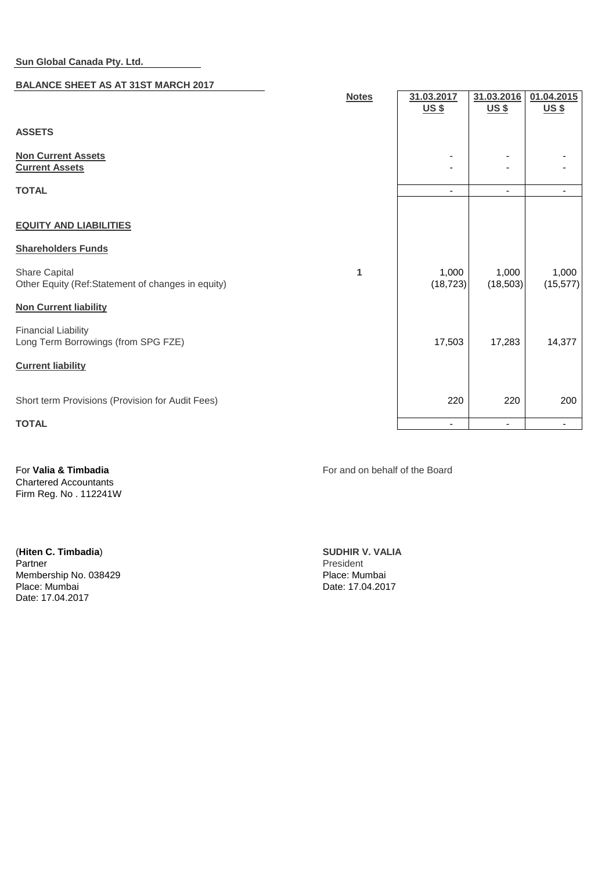#### **BALANCE SHEET AS AT 31ST MARCH 2017**

|                                                                    | <b>Notes</b> | 31.03.2017<br><u>US\$</u> | 31.03.2016<br><u>US \$</u> | 01.04.2015<br><u>US \$</u>   |
|--------------------------------------------------------------------|--------------|---------------------------|----------------------------|------------------------------|
| <b>ASSETS</b>                                                      |              |                           |                            |                              |
| <b>Non Current Assets</b><br><b>Current Assets</b>                 |              | $\blacksquare$            |                            |                              |
| <b>TOTAL</b>                                                       |              | $\blacksquare$            | $\blacksquare$             | $\blacksquare$               |
| <b>EQUITY AND LIABILITIES</b>                                      |              |                           |                            |                              |
| <b>Shareholders Funds</b>                                          |              |                           |                            |                              |
| Share Capital<br>Other Equity (Ref:Statement of changes in equity) | 1            | 1,000<br>(18, 723)        | 1,000<br>(18, 503)         | 1,000<br>(15, 577)           |
| <b>Non Current liability</b>                                       |              |                           |                            |                              |
| <b>Financial Liability</b><br>Long Term Borrowings (from SPG FZE)  |              | 17,503                    | 17,283                     | 14,377                       |
| <b>Current liability</b>                                           |              |                           |                            |                              |
| Short term Provisions (Provision for Audit Fees)                   |              | 220                       | 220                        | 200                          |
| <b>TOTAL</b>                                                       |              | $\overline{\phantom{a}}$  |                            | $\qquad \qquad \blacksquare$ |

Chartered Accountants Firm Reg. No . 112241W

(**Hiten C. Timbadia**) **SUDHIR V. VALIA** Membership No. 038429 Place: Mumbai Date: 17.04.2017

For **Valia & Timbadia** For and on behalf of the Board

President<br>Place: Mumbai Date: 17.04.2017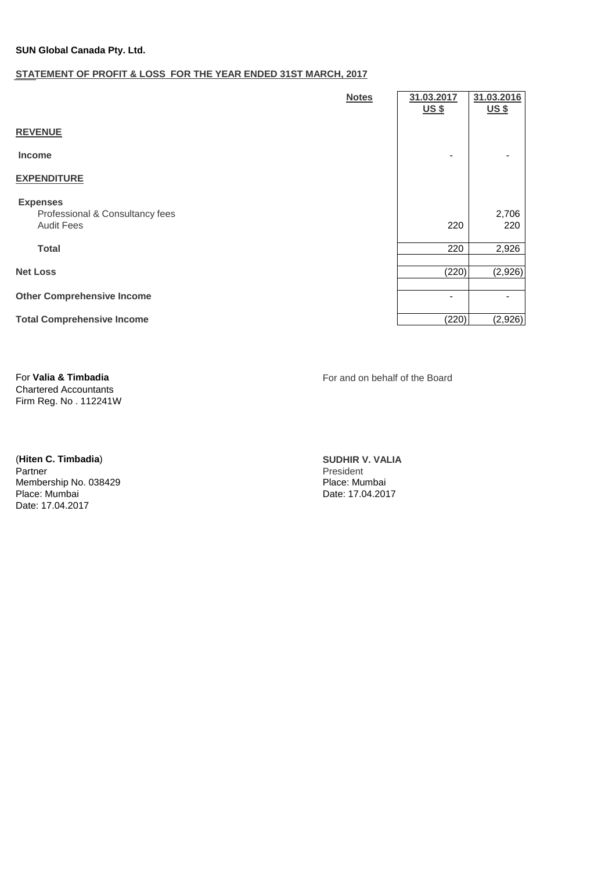#### **SUN Global Canada Pty. Ltd.**

### **STATEMENT OF PROFIT & LOSS FOR THE YEAR ENDED 31ST MARCH, 2017**

|                                                                         | <b>Notes</b> | 31.03.2017<br><u>US\$</u> | 31.03.2016<br>US <sub>5</sub> |
|-------------------------------------------------------------------------|--------------|---------------------------|-------------------------------|
| <b>REVENUE</b>                                                          |              |                           |                               |
| <b>Income</b>                                                           |              |                           |                               |
| <b>EXPENDITURE</b>                                                      |              |                           |                               |
| <b>Expenses</b><br>Professional & Consultancy fees<br><b>Audit Fees</b> |              | 220                       | 2,706<br>220                  |
| <b>Total</b>                                                            |              | 220                       | 2,926                         |
| <b>Net Loss</b>                                                         |              | (220)                     | (2,926)                       |
| <b>Other Comprehensive Income</b>                                       |              |                           |                               |
| <b>Total Comprehensive Income</b>                                       |              | (220)                     | (2,926)                       |
|                                                                         |              |                           |                               |

Chartered Accountants Firm Reg. No . 112241W

(**Hiten C. Timbadia**) **SUDHIR V. VALIA** Membership No. 038429 Place: Mumbai Date: 17.04.2017

For **Valia & Timbadia** For and on behalf of the Board

President<br>Place: Mumbai Date: 17.04.2017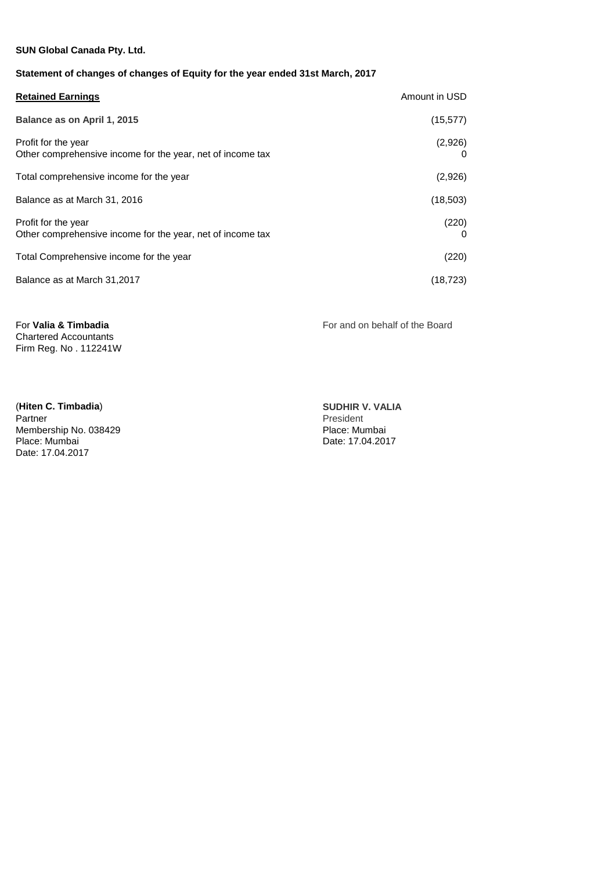#### **SUN Global Canada Pty. Ltd.**

### **Statement of changes of changes of Equity for the year ended 31st March, 2017**

| <b>Retained Earnings</b>                                                          | Amount in USD     |
|-----------------------------------------------------------------------------------|-------------------|
| Balance as on April 1, 2015                                                       | (15, 577)         |
| Profit for the year<br>Other comprehensive income for the year, net of income tax | (2,926)<br>0      |
| Total comprehensive income for the year                                           | (2,926)           |
| Balance as at March 31, 2016                                                      | (18, 503)         |
| Profit for the year<br>Other comprehensive income for the year, net of income tax | (220)<br>$\Omega$ |
| Total Comprehensive income for the year                                           | (220)             |
| Balance as at March 31,2017                                                       | (18, 723)         |

Chartered Accountants Firm Reg. No . 112241W

For **Valia & Timbadia** For and on behalf of the Board

(**Hiten C. Timbadia**) **SUDHIR V. VALIA** Membership No. 038429 Place: Mumbai Date: 17.04.2017

President<br>Place: Mumbai Date: 17.04.2017